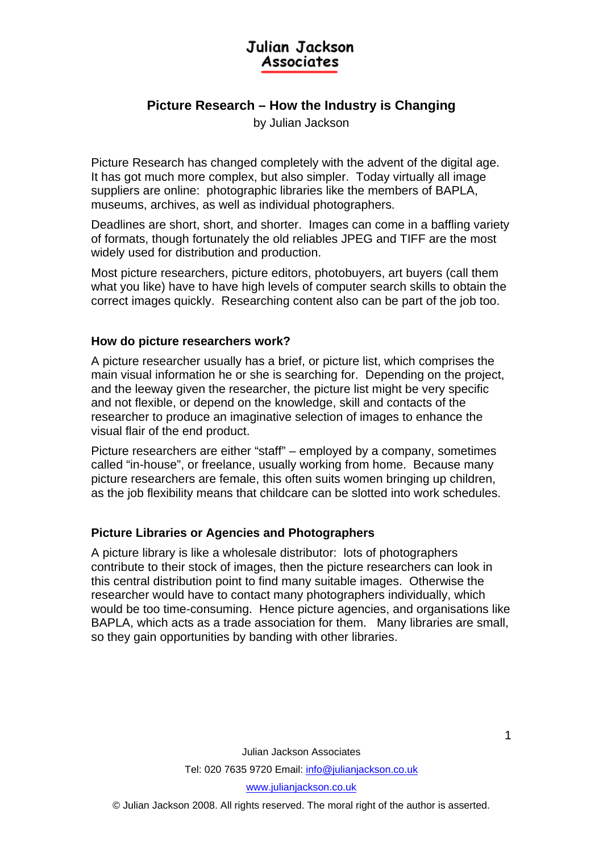# Julian Jackson **Associates**

## **Picture Research – How the Industry is Changing**

by Julian Jackson

Picture Research has changed completely with the advent of the digital age. It has got much more complex, but also simpler. Today virtually all image suppliers are online: photographic libraries like the members of BAPLA, museums, archives, as well as individual photographers.

Deadlines are short, short, and shorter. Images can come in a baffling variety of formats, though fortunately the old reliables JPEG and TIFF are the most widely used for distribution and production.

Most picture researchers, picture editors, photobuyers, art buyers (call them what you like) have to have high levels of computer search skills to obtain the correct images quickly. Researching content also can be part of the job too.

#### **How do picture researchers work?**

A picture researcher usually has a brief, or picture list, which comprises the main visual information he or she is searching for. Depending on the project, and the leeway given the researcher, the picture list might be very specific and not flexible, or depend on the knowledge, skill and contacts of the researcher to produce an imaginative selection of images to enhance the visual flair of the end product.

Picture researchers are either "staff" – employed by a company, sometimes called "in-house", or freelance, usually working from home. Because many picture researchers are female, this often suits women bringing up children, as the job flexibility means that childcare can be slotted into work schedules.

## **Picture Libraries or Agencies and Photographers**

A picture library is like a wholesale distributor: lots of photographers contribute to their stock of images, then the picture researchers can look in this central distribution point to find many suitable images. Otherwise the researcher would have to contact many photographers individually, which would be too time-consuming. Hence picture agencies, and organisations like BAPLA, which acts as a trade association for them. Many libraries are small, so they gain opportunities by banding with other libraries.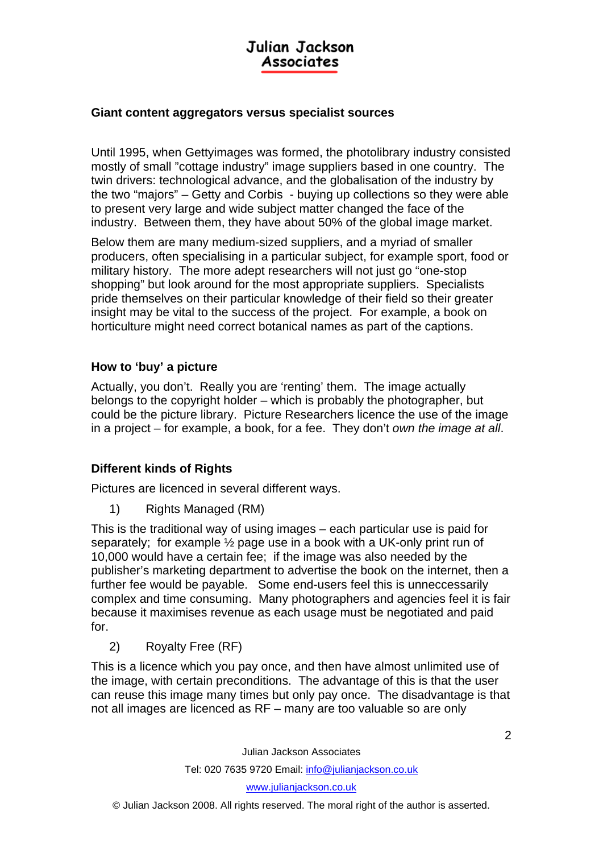# Julian Jackson Associates

#### **Giant content aggregators versus specialist sources**

Until 1995, when Gettyimages was formed, the photolibrary industry consisted mostly of small "cottage industry" image suppliers based in one country. The twin drivers: technological advance, and the globalisation of the industry by the two "majors" – Getty and Corbis - buying up collections so they were able to present very large and wide subject matter changed the face of the industry. Between them, they have about 50% of the global image market.

Below them are many medium-sized suppliers, and a myriad of smaller producers, often specialising in a particular subject, for example sport, food or military history. The more adept researchers will not just go "one-stop shopping" but look around for the most appropriate suppliers. Specialists pride themselves on their particular knowledge of their field so their greater insight may be vital to the success of the project. For example, a book on horticulture might need correct botanical names as part of the captions.

#### **How to 'buy' a picture**

Actually, you don't. Really you are 'renting' them. The image actually belongs to the copyright holder – which is probably the photographer, but could be the picture library. Picture Researchers licence the use of the image in a project – for example, a book, for a fee. They don't *own the image at all*.

## **Different kinds of Rights**

Pictures are licenced in several different ways.

1) Rights Managed (RM)

This is the traditional way of using images – each particular use is paid for separately; for example  $\frac{1}{2}$  page use in a book with a UK-only print run of 10,000 would have a certain fee; if the image was also needed by the publisher's marketing department to advertise the book on the internet, then a further fee would be payable. Some end-users feel this is unneccessarily complex and time consuming. Many photographers and agencies feel it is fair because it maximises revenue as each usage must be negotiated and paid for.

2) Royalty Free (RF)

This is a licence which you pay once, and then have almost unlimited use of the image, with certain preconditions. The advantage of this is that the user can reuse this image many times but only pay once. The disadvantage is that not all images are licenced as RF – many are too valuable so are only

Julian Jackson Associates

Tel: 020 7635 9720 Email: info@julianjackson.co.uk

www.julianjackson.co.uk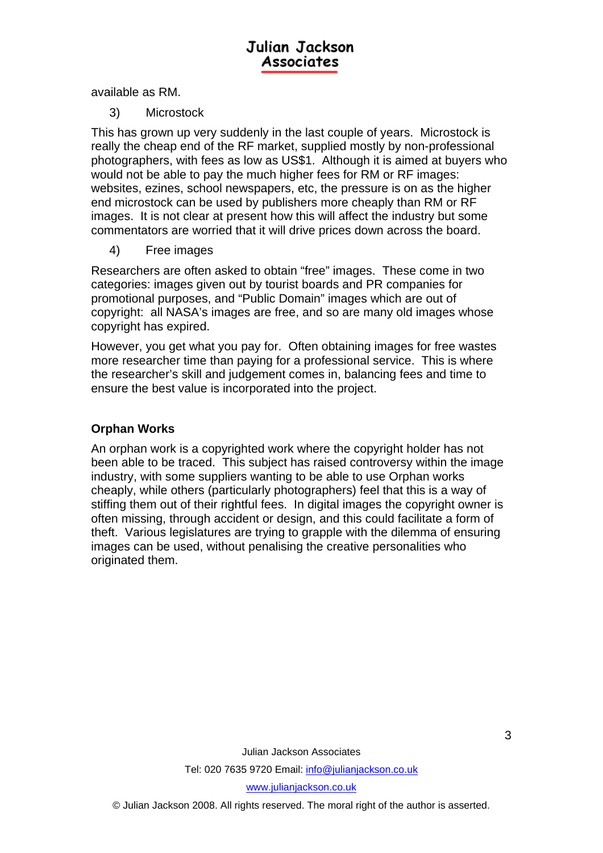available as RM.

3) Microstock

This has grown up very suddenly in the last couple of years. Microstock is really the cheap end of the RF market, supplied mostly by non-professional photographers, with fees as low as US\$1. Although it is aimed at buyers who would not be able to pay the much higher fees for RM or RF images: websites, ezines, school newspapers, etc, the pressure is on as the higher end microstock can be used by publishers more cheaply than RM or RF images. It is not clear at present how this will affect the industry but some commentators are worried that it will drive prices down across the board.

4) Free images

Researchers are often asked to obtain "free" images. These come in two categories: images given out by tourist boards and PR companies for promotional purposes, and "Public Domain" images which are out of copyright: all NASA's images are free, and so are many old images whose copyright has expired.

However, you get what you pay for. Often obtaining images for free wastes more researcher time than paying for a professional service. This is where the researcher's skill and judgement comes in, balancing fees and time to ensure the best value is incorporated into the project.

## **Orphan Works**

An orphan work is a copyrighted work where the copyright holder has not been able to be traced. This subject has raised controversy within the image industry, with some suppliers wanting to be able to use Orphan works cheaply, while others (particularly photographers) feel that this is a way of stiffing them out of their rightful fees. In digital images the copyright owner is often missing, through accident or design, and this could facilitate a form of theft. Various legislatures are trying to grapple with the dilemma of ensuring images can be used, without penalising the creative personalities who originated them.

> Julian Jackson Associates Tel: 020 7635 9720 Email: info@julianjackson.co.uk www.julianjackson.co.uk